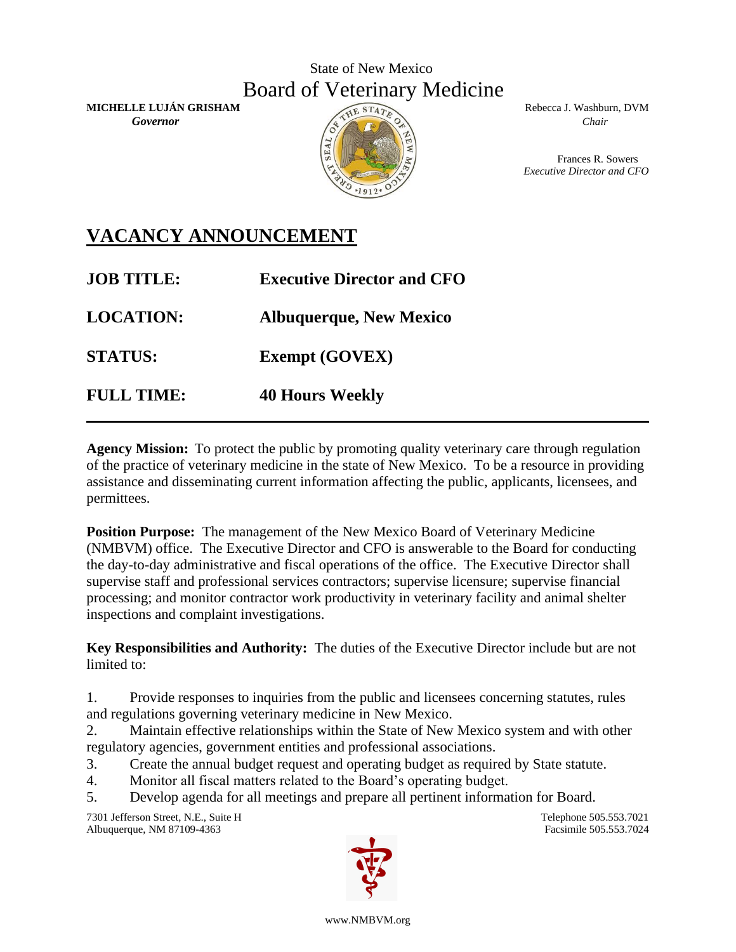## State of New Mexico Board of Veterinary Medicine

**MICHELLE LUJÁN GRISHAM** Rebecca J. Washburn, DVM *Governor* Chair *Chair* Chair *Chair* Chair *Chair* Chair *Chair* Chair *Chair* 



Frances R. Sowers *Executive Director and CFO*

## **VACANCY ANNOUNCEMENT**

| <b>JOB TITLE:</b> | <b>Executive Director and CFO</b> |
|-------------------|-----------------------------------|
| <b>LOCATION:</b>  | <b>Albuquerque, New Mexico</b>    |
| <b>STATUS:</b>    | <b>Exempt (GOVEX)</b>             |
| <b>FULL TIME:</b> | <b>40 Hours Weekly</b>            |

**Agency Mission:** To protect the public by promoting quality veterinary care through regulation of the practice of veterinary medicine in the state of New Mexico. To be a resource in providing assistance and disseminating current information affecting the public, applicants, licensees, and permittees.

**Position Purpose:** The management of the New Mexico Board of Veterinary Medicine (NMBVM) office. The Executive Director and CFO is answerable to the Board for conducting the day-to-day administrative and fiscal operations of the office. The Executive Director shall supervise staff and professional services contractors; supervise licensure; supervise financial processing; and monitor contractor work productivity in veterinary facility and animal shelter inspections and complaint investigations.

**Key Responsibilities and Authority:** The duties of the Executive Director include but are not limited to:

1. Provide responses to inquiries from the public and licensees concerning statutes, rules and regulations governing veterinary medicine in New Mexico.

2. Maintain effective relationships within the State of New Mexico system and with other regulatory agencies, government entities and professional associations.

- 3. Create the annual budget request and operating budget as required by State statute.
- 4. Monitor all fiscal matters related to the Board's operating budget.
- 5. Develop agenda for all meetings and prepare all pertinent information for Board.

7301 Jefferson Street, N.E., Suite H Telephone 505.553.7021 Albuquerque, NM 87109-4363 Facsimile 505.553.7024